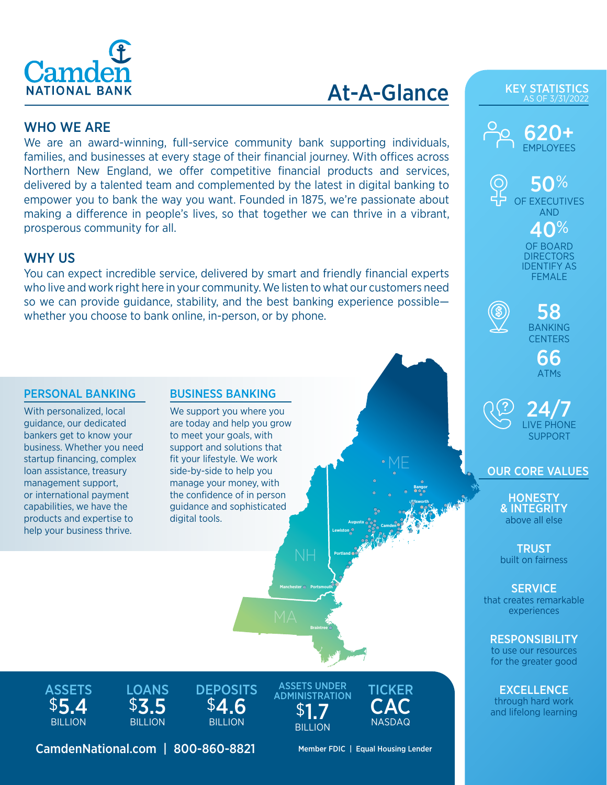

# At-A-Glance

## WHO WE ARE

We are an award-winning, full-service community bank supporting individuals, families, and businesses at every stage of their financial journey. With offices across Northern New England, we offer competitive financial products and services, delivered by a talented team and complemented by the latest in digital banking to empower you to bank the way you want. Founded in 1875, we're passionate about making a difference in people's lives, so that together we can thrive in a vibrant, prosperous community for all.

## WHY US

You can expect incredible service, delivered by smart and friendly financial experts who live and work right here in your community. We listen to what our customers need so we can provide guidance, stability, and the best banking experience possible whether you choose to bank online, in-person, or by phone.

### PERSONAL BANKING BUSINESS BANKING

With personalized, local guidance, our dedicated bankers get to know your business. Whether you need startup financing, complex loan assistance, treasury management support, or international payment capabilities, we have the products and expertise to help your business thrive.

We support you where you are today and help you grow to meet your goals, with support and solutions that fit your lifestyle. We work side-by-side to help you manage your money, with the confidence of in person guidance and sophisticated digital tools.

KEY STATISTICS AS OF 3/31/202



50% OF EXECUTIVES AND 40% OF BOARD **DIRECTORS** IDENTIFY AS FEMALE



58 BANKING **CENTERS** 

> 66 ATMs

24/7 LIVE PHONE SUPPORT

OUR CORE VALUES

**HONESTY** & INTEGRITY above all else

**TRUST** built on fairness

**SERVICE** that creates remarkable experiences

**RESPONSIBILITY** to use our resources for the greater good

EXCELLENCE through hard work and lifelong learning

**ASSETS** \$5.4 **BILLION** 



**DEPOSITS** \$4.6 **BILLION** 



**Braintree**

**Manchester Portsmouth**

**Portland**

 $\bullet$ 

**Lewiston**

**Augusta**

 $0<sub>n</sub>$  $\frac{1}{2}$  $\bar{\mathbb{P}}_{\mathbf{\Theta}}$  င 26 A F 16 11 。 8%。  $200$ ا<br>9 ه  $\circ$  $\bullet$  .  $\bullet$  $\bullet$ 00

**100** 

 $\bullet$ 

CamdenNational.com | 800-860-8821 Member FDIC | Equal Housing Lender

TICKER **CAC** NASDAQ

**Camden** 

 $\circ$ 

 $\mathbf{e}$ 

 $001$  $\circ$  $20<sup>1</sup>$  $\bullet$   $\bullet$ 

**Bangor**

 $\frac{1}{2}$  $\circ$ S **10 <u>Plica</u>**  $\bullet$ 6, id ·

 $000$  $0<sub>0</sub>$ 

ME R

 $\bullet$ 

 $\circ N$   $\circ$ 

**Ellsworth**